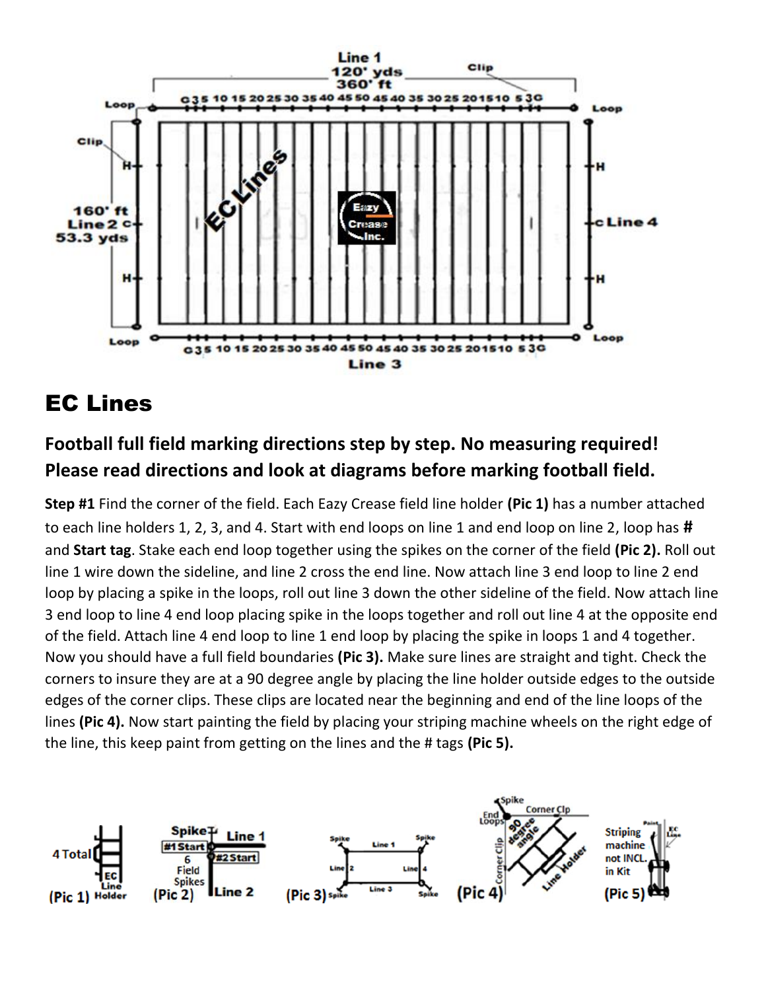

## EC Lines

## **Football full field marking directions step by step. No measuring required! Please read directions and look at diagrams before marking football field.**

**Step #1** Find the corner of the field. Each Eazy Crease field line holder **(Pic 1)** has a number attached to each line holders 1, 2, 3, and 4. Start with end loops on line 1 and end loop on line 2, loop has **#** and **Start tag**. Stake each end loop together using the spikes on the corner of the field **(Pic 2).** Roll out line 1 wire down the sideline, and line 2 cross the end line. Now attach line 3 end loop to line 2 end loop by placing a spike in the loops, roll out line 3 down the other sideline of the field. Now attach line 3 end loop to line 4 end loop placing spike in the loops together and roll out line 4 at the opposite end of the field. Attach line 4 end loop to line 1 end loop by placing the spike in loops 1 and 4 together. Now you should have a full field boundaries **(Pic 3).** Make sure lines are straight and tight. Check the corners to insure they are at a 90 degree angle by placing the line holder outside edges to the outside edges of the corner clips. These clips are located near the beginning and end of the line loops of the lines **(Pic 4).** Now start painting the field by placing your striping machine wheels on the right edge of the line, this keep paint from getting on the lines and the # tags **(Pic 5).**

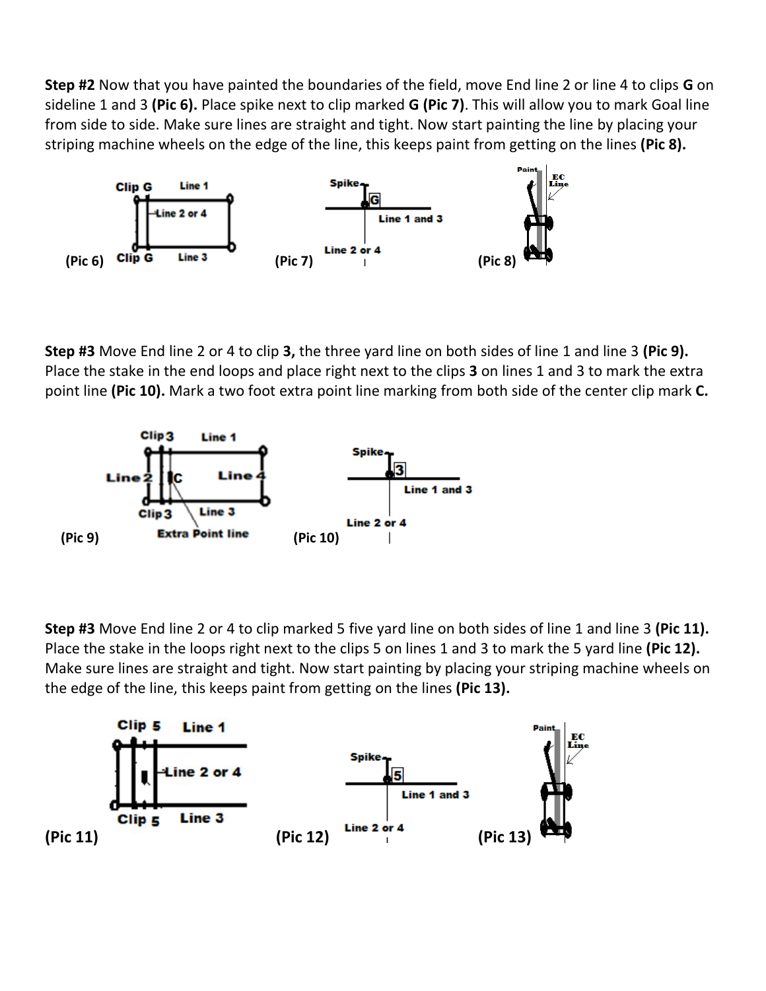**Step #2** Now that you have painted the boundaries of the field, move End line 2 or line 4 to clips **G** on sideline 1 and 3 **(Pic 6).** Place spike next to clip marked **G (Pic 7)**. This will allow you to mark Goal line from side to side. Make sure lines are straight and tight. Now start painting the line by placing your striping machine wheels on the edge of the line, this keeps paint from getting on the lines **(Pic 8).**



**Step #3** Move End line 2 or 4 to clip **3,** the three yard line on both sides of line 1 and line 3 **(Pic 9).**  Place the stake in the end loops and place right next to the clips **3** on lines 1 and 3 to mark the extra point line **(Pic 10).** Mark a two foot extra point line marking from both side of the center clip mark **C.**



**Step #3** Move End line 2 or 4 to clip marked 5 five yard line on both sides of line 1 and line 3 **(Pic 11).** Place the stake in the loops right next to the clips 5 on lines 1 and 3 to mark the 5 yard line **(Pic 12).** Make sure lines are straight and tight. Now start painting by placing your striping machine wheels on the edge of the line, this keeps paint from getting on the lines **(Pic 13).**